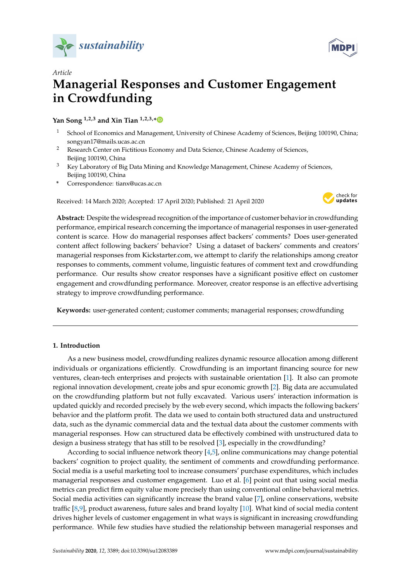



# *Article* **Managerial Responses and Customer Engagement in Crowdfunding**

## **Yan Song 1,2,3 and Xin Tian 1,2,3,[\\*](https://orcid.org/0000-0001-5706-2390)**

- <sup>1</sup> School of Economics and Management, University of Chinese Academy of Sciences, Beijing 100190, China; songyan17@mails.ucas.ac.cn
- <sup>2</sup> Research Center on Fictitious Economy and Data Science, Chinese Academy of Sciences, Beijing 100190, China
- <sup>3</sup> Key Laboratory of Big Data Mining and Knowledge Management, Chinese Academy of Sciences, Beijing 100190, China
- **\*** Correspondence: tianx@ucas.ac.cn

Received: 14 March 2020; Accepted: 17 April 2020; Published: 21 April 2020



**Abstract:** Despite the widespread recognition of the importance of customer behavior in crowdfunding performance, empirical research concerning the importance of managerial responses in user-generated content is scarce. How do managerial responses affect backers' comments? Does user-generated content affect following backers' behavior? Using a dataset of backers' comments and creators' managerial responses from Kickstarter.com, we attempt to clarify the relationships among creator responses to comments, comment volume, linguistic features of comment text and crowdfunding performance. Our results show creator responses have a significant positive effect on customer engagement and crowdfunding performance. Moreover, creator response is an effective advertising strategy to improve crowdfunding performance.

**Keywords:** user-generated content; customer comments; managerial responses; crowdfunding

## **1. Introduction**

As a new business model, crowdfunding realizes dynamic resource allocation among different individuals or organizations efficiently. Crowdfunding is an important financing source for new ventures, clean-tech enterprises and projects with sustainable orientation [\[1\]](#page-10-0). It also can promote regional innovation development, create jobs and spur economic growth [\[2\]](#page-10-1). Big data are accumulated on the crowdfunding platform but not fully excavated. Various users' interaction information is updated quickly and recorded precisely by the web every second, which impacts the following backers' behavior and the platform profit. The data we used to contain both structured data and unstructured data, such as the dynamic commercial data and the textual data about the customer comments with managerial responses. How can structured data be effectively combined with unstructured data to design a business strategy that has still to be resolved [\[3\]](#page-10-2), especially in the crowdfunding?

According to social influence network theory [\[4,](#page-10-3)[5\]](#page-10-4), online communications may change potential backers' cognition to project quality, the sentiment of comments and crowdfunding performance. Social media is a useful marketing tool to increase consumers' purchase expenditures, which includes managerial responses and customer engagement. Luo et al. [\[6\]](#page-10-5) point out that using social media metrics can predict firm equity value more precisely than using conventional online behavioral metrics. Social media activities can significantly increase the brand value [\[7\]](#page-10-6), online conservations, website traffic [\[8,](#page-10-7)[9\]](#page-10-8), product awareness, future sales and brand loyalty [\[10\]](#page-10-9). What kind of social media content drives higher levels of customer engagement in what ways is significant in increasing crowdfunding performance. While few studies have studied the relationship between managerial responses and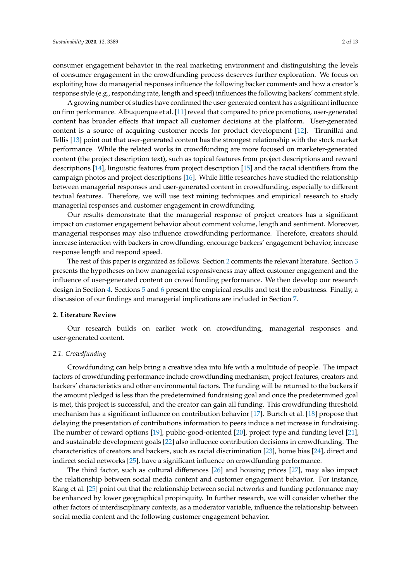consumer engagement behavior in the real marketing environment and distinguishing the levels of consumer engagement in the crowdfunding process deserves further exploration. We focus on exploiting how do managerial responses influence the following backer comments and how a creator's response style (e.g., responding rate, length and speed) influences the following backers' comment style.

A growing number of studies have confirmed the user-generated content has a significant influence on firm performance. Albuquerque et al. [\[11\]](#page-10-10) reveal that compared to price promotions, user-generated content has broader effects that impact all customer decisions at the platform. User-generated content is a source of acquiring customer needs for product development [\[12\]](#page-10-11). Tirunillai and Tellis [\[13\]](#page-10-12) point out that user-generated content has the strongest relationship with the stock market performance. While the related works in crowdfunding are more focused on marketer-generated content (the project description text), such as topical features from project descriptions and reward descriptions [\[14\]](#page-10-13), linguistic features from project description [\[15\]](#page-10-14) and the racial identifiers from the campaign photos and project descriptions [\[16\]](#page-10-15). While little researches have studied the relationship between managerial responses and user-generated content in crowdfunding, especially to different textual features. Therefore, we will use text mining techniques and empirical research to study managerial responses and customer engagement in crowdfunding.

Our results demonstrate that the managerial response of project creators has a significant impact on customer engagement behavior about comment volume, length and sentiment. Moreover, managerial responses may also influence crowdfunding performance. Therefore, creators should increase interaction with backers in crowdfunding, encourage backers' engagement behavior, increase response length and respond speed.

The rest of this paper is organized as follows. Section [2](#page-1-0) comments the relevant literature. Section [3](#page-2-0) presents the hypotheses on how managerial responsiveness may affect customer engagement and the influence of user-generated content on crowdfunding performance. We then develop our research design in Section [4.](#page-4-0) Sections [5](#page-6-0) and [6](#page-8-0) present the empirical results and test the robustness. Finally, a discussion of our findings and managerial implications are included in Section [7.](#page-9-0)

#### <span id="page-1-0"></span>**2. Literature Review**

Our research builds on earlier work on crowdfunding, managerial responses and user-generated content.

#### *2.1. Crowdfunding*

Crowdfunding can help bring a creative idea into life with a multitude of people. The impact factors of crowdfunding performance include crowdfunding mechanism, project features, creators and backers' characteristics and other environmental factors. The funding will be returned to the backers if the amount pledged is less than the predetermined fundraising goal and once the predetermined goal is met, this project is successful, and the creator can gain all funding. This crowdfunding threshold mechanism has a significant influence on contribution behavior [\[17\]](#page-10-16). Burtch et al. [\[18\]](#page-10-17) propose that delaying the presentation of contributions information to peers induce a net increase in fundraising. The number of reward options [\[19\]](#page-10-18), public-good-oriented [\[20\]](#page-10-19), project type and funding level [\[21\]](#page-10-20), and sustainable development goals [\[22\]](#page-10-21) also influence contribution decisions in crowdfunding. The characteristics of creators and backers, such as racial discrimination [\[23\]](#page-10-22), home bias [\[24\]](#page-11-0), direct and indirect social networks [\[25\]](#page-11-1), have a significant influence on crowdfunding performance.

The third factor, such as cultural differences [\[26\]](#page-11-2) and housing prices [\[27\]](#page-11-3), may also impact the relationship between social media content and customer engagement behavior. For instance, Kang et al. [\[25\]](#page-11-1) point out that the relationship between social networks and funding performance may be enhanced by lower geographical propinquity. In further research, we will consider whether the other factors of interdisciplinary contexts, as a moderator variable, influence the relationship between social media content and the following customer engagement behavior.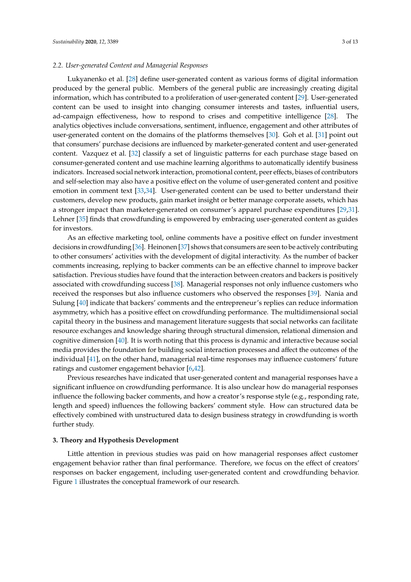#### *2.2. User-generated Content and Managerial Responses*

Lukyanenko et al. [\[28\]](#page-11-4) define user-generated content as various forms of digital information produced by the general public. Members of the general public are increasingly creating digital information, which has contributed to a proliferation of user-generated content [\[29\]](#page-11-5). User-generated content can be used to insight into changing consumer interests and tastes, influential users, ad-campaign effectiveness, how to respond to crises and competitive intelligence [\[28\]](#page-11-4). The analytics objectives include conversations, sentiment, influence, engagement and other attributes of user-generated content on the domains of the platforms themselves [\[30\]](#page-11-6). Goh et al. [\[31\]](#page-11-7) point out that consumers' purchase decisions are influenced by marketer-generated content and user-generated content. Vazquez et al. [\[32\]](#page-11-8) classify a set of linguistic patterns for each purchase stage based on consumer-generated content and use machine learning algorithms to automatically identify business indicators. Increased social network interaction, promotional content, peer effects, biases of contributors and self-selection may also have a positive effect on the volume of user-generated content and positive emotion in comment text [\[33,](#page-11-9)[34\]](#page-11-10). User-generated content can be used to better understand their customers, develop new products, gain market insight or better manage corporate assets, which has a stronger impact than marketer-generated on consumer's apparel purchase expenditures [\[29,](#page-11-5)[31\]](#page-11-7). Lehner [\[35\]](#page-11-11) finds that crowdfunding is empowered by embracing user-generated content as guides for investors.

As an effective marketing tool, online comments have a positive effect on funder investment decisions in crowdfunding [\[36\]](#page-11-12). Heinonen [\[37\]](#page-11-13) shows that consumers are seen to be actively contributing to other consumers' activities with the development of digital interactivity. As the number of backer comments increasing, replying to backer comments can be an effective channel to improve backer satisfaction. Previous studies have found that the interaction between creators and backers is positively associated with crowdfunding success [\[38\]](#page-11-14). Managerial responses not only influence customers who received the responses but also influence customers who observed the responses [\[39\]](#page-11-15). Nania and Sulung [\[40\]](#page-11-16) indicate that backers' comments and the entrepreneur's replies can reduce information asymmetry, which has a positive effect on crowdfunding performance. The multidimensional social capital theory in the business and management literature suggests that social networks can facilitate resource exchanges and knowledge sharing through structural dimension, relational dimension and cognitive dimension [\[40\]](#page-11-16). It is worth noting that this process is dynamic and interactive because social media provides the foundation for building social interaction processes and affect the outcomes of the individual [\[41\]](#page-11-17), on the other hand, managerial real-time responses may influence customers' future ratings and customer engagement behavior [\[6,](#page-10-5)[42\]](#page-11-18).

Previous researches have indicated that user-generated content and managerial responses have a significant influence on crowdfunding performance. It is also unclear how do managerial responses influence the following backer comments, and how a creator's response style (e.g., responding rate, length and speed) influences the following backers' comment style. How can structured data be effectively combined with unstructured data to design business strategy in crowdfunding is worth further study.

#### <span id="page-2-0"></span>**3. Theory and Hypothesis Development**

Little attention in previous studies was paid on how managerial responses affect customer engagement behavior rather than final performance. Therefore, we focus on the effect of creators' responses on backer engagement, including user-generated content and crowdfunding behavior. Figure [1](#page-3-0) illustrates the conceptual framework of our research.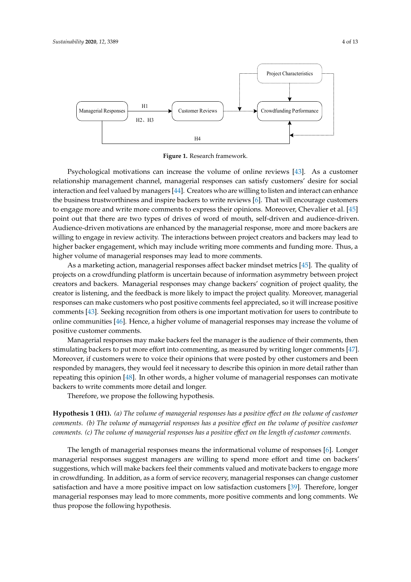<span id="page-3-0"></span>

**Figure 1.** Research framework.

Psychological motivations can increase the volume of online reviews [\[43\]](#page-11-19). As a customer As a marketing action, managerial responses affect backer mindset metrics [45]. The quality of relationship management channel, managerial responses can satisfy customers' desire for social interaction and feel valued by managers [\[44\]](#page-11-20). Creators who are willing to listen and interact can enhance  $\frac{1}{2}$ the business trustworthiness and inspire backers to write reviews [\[6\]](#page-10-5). That will encourage customers the project  $\epsilon$ to engage more and write more comments to express their opinions. Moreover, Chevalier et al. [\[45\]](#page-11-21) point out that there are two types of drives of word of mouth, self-driven and audience-driven.<br> Audience-driven motivations are enhanced by the managerial response, more and more backers are<br> willing to engage in review activity. The interactions between project creators and backers may lead to<br>Willing to engage in review activity. The interactions between project creators and backers may lead to higher backer engagement, which may include writing more comments and funding more. Thus, a<br>. higher volume of managerial responses may lead to more comments.

As a marketing action, managerial responses affect backer mindset metrics [\[45\]](#page-11-21). The quality of projects on a crowdfunding platform is uncertain because of information asymmetry between project creators and backers. Managerial responses may change backers' cognition of project quality, the creator is listening, and the feedback is more likely to impact the project quality. Moreover, managerial creator responses can make customers who post positive comments feel appreciated, so it will increase positive comments [\[43\]](#page-11-19). Seeking recognition from others is one important motivation for users to contribute to positive customer comments. online communities [\[46\]](#page-11-22). Hence, a higher volume of managerial responses may increase the volume of

Managerial responses may make backers feel the manager is the audience of their comments, then stimulating backers to put more effort into commenting, as measured by writing longer comments [\[47\]](#page-11-23). responded by managers, they would feel it necessary to describe this opinion in more detail rather than repeating this opinion [\[48\]](#page-11-24). In other words, a higher volume of managerial responses can motivate backers to write comments more detail and longer. Moreover, if customers were to voice their opinions that were posted by other customers and been

Therefore, we propose the following hypothesis.

**Hypothesis 1 (H1).** (a) The volume of managerial responses has a positive effect on the volume of customer comments. We thus propose the following hypothesis. *comments. (b) The volume of managerial responses has a positive e*ff*ect on the volume of positive customer comments. (c) The volume of managerial responses has a positive e*ff*ect on the length of customer comments.*

The length of managerial responses means the informational volume of responses [\[6\]](#page-10-5). Longer managerial responses suggest managers are willing to spend more effort and time on backers' in crowdfunding. In addition, as a form of service recovery, managerial responses can change customer satisfaction and have a more positive impact on low satisfaction customers [\[39\]](#page-11-15). Therefore, longer managerial responses may lead to more comments, more positive comments and long comments. We thus propose the following hypothesis. Moreover, the duration of crowdfunding is  $\mathbf{p}_i$ suggestions, which will make backers feel their comments valued and motivate backers to engage more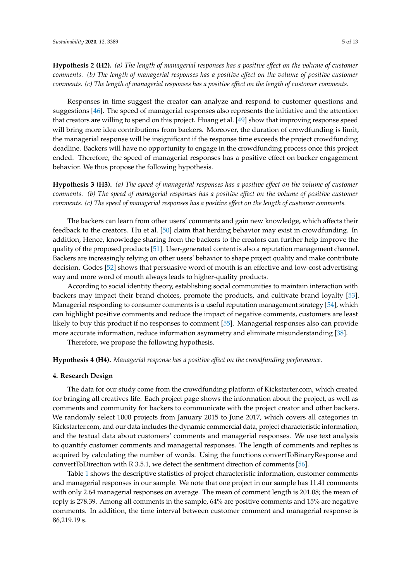**Hypothesis 2 (H2).** *(a) The length of managerial responses has a positive effect on the volume of customer comments. (b) The length of managerial responses has a positive e*ff*ect on the volume of positive customer comments. (c) The length of managerial responses has a positive e*ff*ect on the length of customer comments.*

Responses in time suggest the creator can analyze and respond to customer questions and suggestions [\[46\]](#page-11-22). The speed of managerial responses also represents the initiative and the attention that creators are willing to spend on this project. Huang et al. [\[49\]](#page-11-25) show that improving response speed will bring more idea contributions from backers. Moreover, the duration of crowdfunding is limit, the managerial response will be insignificant if the response time exceeds the project crowdfunding deadline. Backers will have no opportunity to engage in the crowdfunding process once this project ended. Therefore, the speed of managerial responses has a positive effect on backer engagement behavior. We thus propose the following hypothesis.

**Hypothesis 3 (H3).** *(a) The speed of managerial responses has a positive e*ff*ect on the volume of customer comments. (b) The speed of managerial responses has a positive e*ff*ect on the volume of positive customer comments. (c) The speed of managerial responses has a positive e*ff*ect on the length of customer comments.*

The backers can learn from other users' comments and gain new knowledge, which affects their feedback to the creators. Hu et al. [\[50\]](#page-12-0) claim that herding behavior may exist in crowdfunding. In addition, Hence, knowledge sharing from the backers to the creators can further help improve the quality of the proposed products [\[51\]](#page-12-1). User-generated content is also a reputation management channel. Backers are increasingly relying on other users' behavior to shape project quality and make contribute decision. Godes [\[52\]](#page-12-2) shows that persuasive word of mouth is an effective and low-cost advertising way and more word of mouth always leads to higher-quality products.

According to social identity theory, establishing social communities to maintain interaction with backers may impact their brand choices, promote the products, and cultivate brand loyalty [\[53\]](#page-12-3). Managerial responding to consumer comments is a useful reputation management strategy [\[54\]](#page-12-4), which can highlight positive comments and reduce the impact of negative comments, customers are least likely to buy this product if no responses to comment [\[55\]](#page-12-5). Managerial responses also can provide more accurate information, reduce information asymmetry and eliminate misunderstanding [\[38\]](#page-11-14).

Therefore, we propose the following hypothesis.

#### **Hypothesis 4 (H4).** *Managerial response has a positive e*ff*ect on the crowdfunding performance.*

#### <span id="page-4-0"></span>**4. Research Design**

The data for our study come from the crowdfunding platform of Kickstarter.com, which created for bringing all creatives life. Each project page shows the information about the project, as well as comments and community for backers to communicate with the project creator and other backers. We randomly select 1000 projects from January 2015 to June 2017, which covers all categories in Kickstarter.com, and our data includes the dynamic commercial data, project characteristic information, and the textual data about customers' comments and managerial responses. We use text analysis to quantify customer comments and managerial responses. The length of comments and replies is acquired by calculating the number of words. Using the functions convertToBinaryResponse and convertToDirection with R 3.5.1, we detect the sentiment direction of comments [\[56\]](#page-12-6).

Table [1](#page-5-0) shows the descriptive statistics of project characteristic information, customer comments and managerial responses in our sample. We note that one project in our sample has 11.41 comments with only 2.64 managerial responses on average. The mean of comment length is 201.08; the mean of reply is 278.39. Among all comments in the sample, 64% are positive comments and 15% are negative comments. In addition, the time interval between customer comment and managerial response is 86,219.19 s.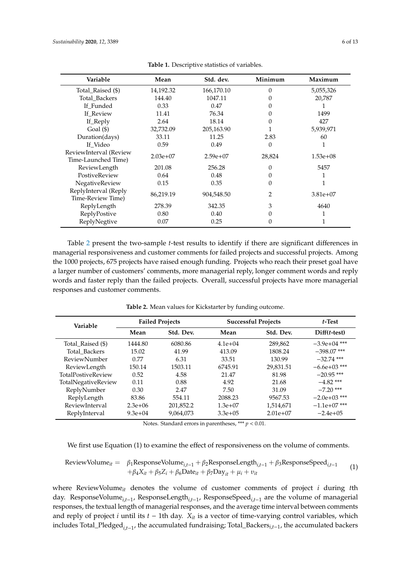<span id="page-5-0"></span>

| Variable                                      | Mean       | Std. dev.  | Minimum | Maximum    |
|-----------------------------------------------|------------|------------|---------|------------|
| Total_Raised (\$)                             | 14,192.32  | 166,170.10 | 0       | 5,055,326  |
| Total_Backers                                 | 144.40     | 1047.11    |         | 20,787     |
| If Funded                                     | 0.33       | 0.47       |         |            |
| If Review                                     | 11.41      | 76.34      |         | 1499       |
| If_Reply                                      | 2.64       | 18.14      | 0       | 427        |
| Goal $(\$)$                                   | 32,732.09  | 205,163.90 |         | 5,939,971  |
| Duration(days)                                | 33.11      | 11.25      | 2.83    | 60         |
| If Video                                      | 0.59       | 0.49       | 0       |            |
| ReviewInterval (Review<br>Time-Launched Time) | $2.03e+07$ | $2.59e+07$ | 28,824  | $1.53e+08$ |
| ReviewLength                                  | 201.08     | 256.28     | 0       | 5457       |
| PostiveReview                                 | 0.64       | 0.48       |         |            |
| NegativeReview                                | 0.15       | 0.35       | 0       |            |
| ReplyInterval (Reply<br>Time-Review Time)     | 86,219.19  | 904,548.50 |         | $3.81e+07$ |
| ReplyLength                                   | 278.39     | 342.35     | 3       | 4640       |
| ReplyPostive                                  | 0.80       | 0.40       |         |            |
| ReplyNegtive                                  | 0.07       | 0.25       | 0       |            |

**Table 1.** Descriptive statistics of variables.

Table [2](#page-5-1) present the two-sample *t*-test results to identify if there are significant differences in managerial responsiveness and customer comments for failed projects and successful projects. Among the 1000 projects, 675 projects have raised enough funding. Projects who reach their preset goal have a larger number of customers' comments, more managerial reply, longer comment words and reply words and faster reply than the failed projects. Overall, successful projects have more managerial responses and customer comments.

<span id="page-5-1"></span>

| Variable                  | <b>Failed Projects</b> |           | <b>Successful Projects</b> |            | $t$ -Test      |
|---------------------------|------------------------|-----------|----------------------------|------------|----------------|
|                           | Mean                   | Std. Dev. | Mean                       | Std. Dev.  | $Diff(t-test)$ |
| Total_Raised (\$)         | 1444.80                | 6080.86   | $4.1e+04$                  | 289,862    | $-3.9e+04$ *** |
| Total Backers             | 15.02                  | 41.99     | 413.09                     | 1808.24    | $-398.07$ ***  |
| <b>ReviewNumber</b>       | 0.77                   | 6.31      | 33.51                      | 130.99     | $-32.74$ ***   |
| ReviewLength              | 150.14                 | 1503.11   | 6745.91                    | 29.831.51  | $-6.6e+03$ *** |
| <b>TotalPostiveReview</b> | 0.52                   | 4.58      | 21.47                      | 81.98      | $-20.95$ ***   |
| TotalNegativeReview       | 0.11                   | 0.88      | 4.92                       | 21.68      | $-4.82$ ***    |
| ReplyNumber               | 0.30                   | 2.47      | 7.50                       | 31.09      | $-7.20$ ***    |
| ReplyLength               | 83.86                  | 554.11    | 2088.23                    | 9567.53    | $-2.0e+03$ *** |
| ReviewInterval            | $2.3e+06$              | 201,852.2 | $1.3e+07$                  | 1,514,671  | $-1.1e+07$ *** |
| ReplyInterval             | $9.3e + 04$            | 9,064,073 | $3.3e+0.5$                 | $2.01e+07$ | $-2.4e+0.5$    |

**Table 2.** Mean values for Kickstarter by funding outcome.

Notes. Standard errors in parentheses, \*\*\* *p* < 0.01.

We first use Equation (1) to examine the effect of responsiveness on the volume of comments.

ReviewVolume<sub>it</sub> = 
$$
\beta_1
$$
ResponseVolume<sub>i,t-1</sub> +  $\beta_2$ ResponseLength<sub>i,t-1</sub> +  $\beta_3$ ResponseSpeed<sub>i,t-1</sub> +  $\beta_4 X_{it} + \beta_5 Z_i + \beta_6$ Date<sub>it</sub> +  $\beta_7$ Day<sub>it</sub> +  $\mu_i + \nu_{it}$  (1)

where ReviewVolume*it* denotes the volume of customer comments of project *i* during *t*th day. ResponseVolume*i*,*t*−<sup>1</sup> , ResponseLength*i*,*t*−<sup>1</sup> , ResponseSpeed*i*,*t*−<sup>1</sup> are the volume of managerial responses, the textual length of managerial responses, and the average time interval between comments and reply of project *i* until its *t* − 1th day. *Xit* is a vector of time-varying control variables, which includes Total\_Pledged*i*,*t*−<sup>1</sup> , the accumulated fundraising; Total\_Backers*i*,*t*−1, the accumulated backers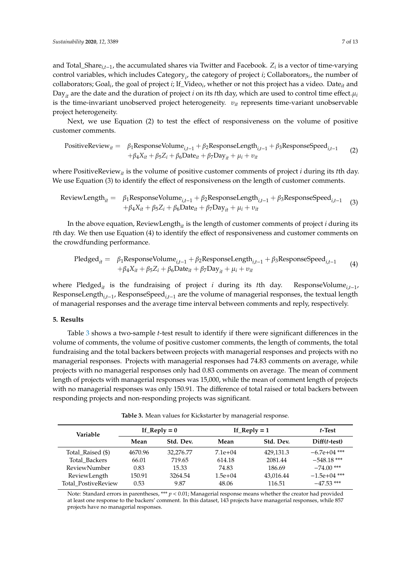and Total\_Share*i*,*t*−1, the accumulated shares via Twitter and Facebook. *Z<sup>i</sup>* is a vector of time-varying control variables, which includes Category*<sup>i</sup>* , the category of project *i*; Collaborators*<sup>i</sup>* , the number of collaborators; Goal*<sup>i</sup>* , the goal of project *i*; If\_Video*<sup>i</sup>* , whether or not this project has a video. Date*it* and Day<sub>*it*</sub> are the date and the duration of project *i* on its *t*th day, which are used to control time effect. $\mu_i$ is the time-invariant unobserved project heterogeneity. υ*it* represents time-variant unobservable project heterogeneity.

Next, we use Equation (2) to test the effect of responsiveness on the volume of positive customer comments.

PositiveReview<sub>it</sub> = 
$$
\beta_1
$$
ResponseVolume<sub>i,t-1</sub> +  $\beta_2$ ResponseLength<sub>i,t-1</sub> +  $\beta_3$ ResponseSpeed<sub>i,t-1</sub> +  $\beta_4 X_{it} + \beta_5 Z_i + \beta_6$ Date<sub>it</sub> +  $\beta_7$ Day<sub>it</sub> +  $\mu_i + \nu_{it}$  (2)

where PositiveReview*it* is the volume of positive customer comments of project *i* during its *t*th day. We use Equation (3) to identify the effect of responsiveness on the length of customer comments.

ReviewLength<sub>it</sub> = 
$$
\beta_1
$$
ResponseVolume<sub>i,t-1</sub> +  $\beta_2$ ResponseLength<sub>i,t-1</sub> +  $\beta_3$ ResponseSpeed<sub>i,t-1</sub> +  $\beta_4 X_{it}$  +  $\beta_5 Z_i$  +  $\beta_6$ Date<sub>it</sub> +  $\beta_7$ Day<sub>it</sub> +  $\mu_i$  +  $\nu_{it}$  (3)

In the above equation, ReviewLength<sub>it</sub> is the length of customer comments of project *i* during its *t*th day. We then use Equation (4) to identify the effect of responsiveness and customer comments on the crowdfunding performance.

$$
\text{Pledged}_{it} = \beta_1 \text{ResponseVolume}_{i,t-1} + \beta_2 \text{ResponseLength}_{i,t-1} + \beta_3 \text{ResponseSpeed}_{i,t-1} + \beta_4 X_{it} + \beta_5 Z_i + \beta_6 \text{Date}_{it} + \beta_7 \text{Day}_{it} + \mu_i + \nu_{it}
$$
\n
$$
(4)
$$

where Pledged<sub>*it*</sub> is the fundraising of project *i* during its *t*th day. ResponseVolume<sub>it-1</sub>, ResponseLength<sub>*i,t−1</sub>,* ResponseSpeed<sub>i,t−1</sub> are the volume of managerial responses*,* the textual length</sub> of managerial responses and the average time interval between comments and reply, respectively.

#### <span id="page-6-0"></span>**5. Results**

Table [3](#page-6-1) shows a two-sample *t*-test result to identify if there were significant differences in the volume of comments, the volume of positive customer comments, the length of comments, the total fundraising and the total backers between projects with managerial responses and projects with no managerial responses. Projects with managerial responses had 74.83 comments on average, while projects with no managerial responses only had 0.83 comments on average. The mean of comment length of projects with managerial responses was 15,000, while the mean of comment length of projects with no managerial responses was only 150.91. The difference of total raised or total backers between responding projects and non-responding projects was significant.

**Table 3.** Mean values for Kickstarter by managerial response.

<span id="page-6-1"></span>

| Variable            | If $\text{Reply} = 0$ |           | If $\text{Reply} = 1$ |           | t-Test         |
|---------------------|-----------------------|-----------|-----------------------|-----------|----------------|
|                     | Mean                  | Std. Dev. | Mean                  | Std. Dev. | $Diff(t-test)$ |
| Total_Raised (\$)   | 4670.96               | 32,276.77 | $7.1e+04$             | 429,131.3 | $-6.7e+04$ *** |
| Total Backers       | 66.01                 | 719.65    | 614.18                | 2081.44   | $-548.18$ ***  |
| <b>ReviewNumber</b> | 0.83                  | 15.33     | 74.83                 | 186.69    | $-74.00$ ***   |
| ReviewLength        | 150.91                | 3264.54   | $1.5e+04$             | 43,016.44 | $-1.5e+04$ *** |
| Total PostiveReview | 0.53                  | 9.87      | 48.06                 | 116.51    | $-47.53$ ***   |

Note: Standard errors in parentheses, \*\*\* *p* < 0.01; Managerial response means whether the creator had provided at least one response to the backers' comment. In this dataset, 143 projects have managerial responses, while 857 projects have no managerial responses.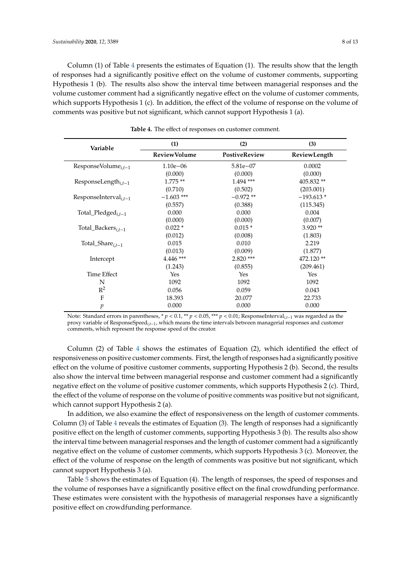Column (1) of Table [4](#page-7-0) presents the estimates of Equation (1). The results show that the length of responses had a significantly positive effect on the volume of customer comments, supporting Hypothesis 1 (b). The results also show the interval time between managerial responses and the volume customer comment had a significantly negative effect on the volume of customer comments, which supports Hypothesis 1 (c). In addition, the effect of the volume of response on the volume of comments was positive but not significant, which cannot support Hypothesis 1 (a).

<span id="page-7-0"></span>

| Variable                          | (1)                 | (2)           | (3)          |  |
|-----------------------------------|---------------------|---------------|--------------|--|
|                                   | <b>ReviewVolume</b> | PostiveReview | ReviewLength |  |
| ResponseVolume $_{i,t-1}$         | $1.10e - 06$        | $5.81e - 07$  | 0.0002       |  |
|                                   | (0.000)             | (0.000)       | (0.000)      |  |
| ResponseLength $_{i,t-1}$         | $1.775**$           | $1.494$ ***   | 405.832**    |  |
|                                   | (0.710)             | (0.502)       | (203.001)    |  |
| ResponseInterval <sub>i.t-1</sub> | $-1.603$ ***        | $-0.972**$    | $-193.613*$  |  |
|                                   | (0.557)             | (0.388)       | (115.345)    |  |
| Total_Pledged $_{i,t-1}$          | 0.000               | 0.000         | 0.004        |  |
|                                   | (0.000)             | (0.000)       | (0.007)      |  |
| Total_Backers $_{i,t-1}$          | $0.022*$            | $0.015*$      | $3.920**$    |  |
|                                   | (0.012)             | (0.008)       | (1.803)      |  |
| Total_Share $_{i,t-1}$            | 0.015               | 0.010         | 2.219        |  |
|                                   | (0.013)             | (0.009)       | (1.877)      |  |
| Intercept                         | $4.446$ ***         | $2.820$ ***   | 472.120**    |  |
|                                   | (1.243)             | (0.855)       | (209.461)    |  |
| Time Effect                       | Yes                 | Yes           | Yes          |  |
| N                                 | 1092                | 1092          | 1092         |  |
| $R^2$                             | 0.056               | 0.059         | 0.043        |  |
| $\mathbf{F}$                      | 18.393              | 20.077        | 22.733       |  |
| $\mathfrak{p}$                    | 0.000               | 0.000         | 0.000        |  |

**Table 4.** The effect of responses on customer comment.

Note: Standard errors in parentheses, \* *p* < 0.1, \*\* *p* < 0.05, \*\*\* *p* < 0.01; ResponseInterval*i*,*t*−<sup>1</sup> was regarded as the proxy variable of ResponseSpeed*i*,*t*−1, which means the time intervals between managerial responses and customer comments, which represent the response speed of the creator.

Column (2) of Table [4](#page-7-0) shows the estimates of Equation (2), which identified the effect of responsiveness on positive customer comments. First, the length of responses had a significantly positive effect on the volume of positive customer comments, supporting Hypothesis 2 (b). Second, the results also show the interval time between managerial response and customer comment had a significantly negative effect on the volume of positive customer comments, which supports Hypothesis 2 (c). Third, the effect of the volume of response on the volume of positive comments was positive but not significant, which cannot support Hypothesis 2 (a).

In addition, we also examine the effect of responsiveness on the length of customer comments. Column (3) of Table [4](#page-7-0) reveals the estimates of Equation (3). The length of responses had a significantly positive effect on the length of customer comments, supporting Hypothesis 3 (b). The results also show the interval time between managerial responses and the length of customer comment had a significantly negative effect on the volume of customer comments, which supports Hypothesis 3 (c). Moreover, the effect of the volume of response on the length of comments was positive but not significant, which cannot support Hypothesis 3 (a).

Table [5](#page-8-1) shows the estimates of Equation (4). The length of responses, the speed of responses and the volume of responses have a significantly positive effect on the final crowdfunding performance. These estimates were consistent with the hypothesis of managerial responses have a significantly positive effect on crowdfunding performance.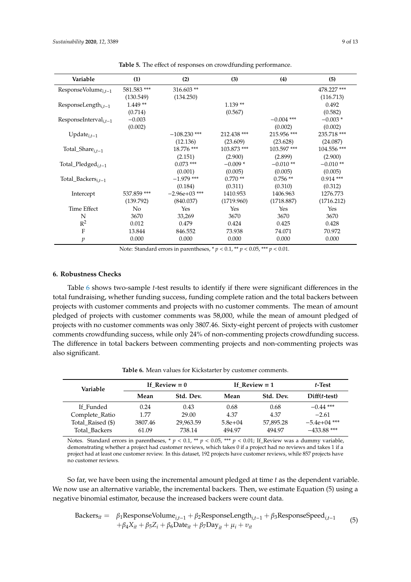<span id="page-8-1"></span>

| Variable                          | (1)         | (2)             | (3)         | (4)          | (5)         |
|-----------------------------------|-------------|-----------------|-------------|--------------|-------------|
| ResponseVolume $_{i,t-1}$         | 581.583 *** | 316.603**       |             |              | 478.227 *** |
|                                   | (130.549)   | (134.250)       |             |              | (116.713)   |
| ResponseLength $_{i,t-1}$         | $1.449**$   |                 | $1.139**$   |              | 0.492       |
|                                   | (0.714)     |                 | (0.567)     |              | (0.582)     |
| ResponseInterval <sub>i.t-1</sub> | $-0.003$    |                 |             | $-0.004$ *** | $-0.003*$   |
|                                   | (0.002)     |                 |             | (0.002)      | (0.002)     |
| Update $_{i,t-1}$                 |             | $-108.230$ ***  | 212.438 *** | 215.956***   | 235.718 *** |
|                                   |             | (12.136)        | (23.609)    | (23.628)     | (24.087)    |
| Total_Share $_{i,t-1}$            |             | 18.776 ***      | 103.873***  | 103.597***   | 104.556 *** |
|                                   |             | (2.151)         | (2.900)     | (2.899)      | (2.900)     |
| Total_Pledged $_{i,t-1}$          |             | $0.073$ ***     | $-0.009*$   | $-0.010**$   | $-0.010**$  |
|                                   |             | (0.001)         | (0.005)     | (0.005)      | (0.005)     |
| $Total_Backets_{i,t-1}$           |             | $-1.979$ ***    | $0.770**$   | $0.756**$    | $0.914***$  |
|                                   |             | (0.184)         | (0.311)     | (0.310)      | (0.312)     |
| Intercept                         | 537.859 *** | $-2.96e+03$ *** | 1410.953    | 1406.963     | 1276.773    |
|                                   | (139.792)   | (840.037)       | (1719.960)  | (1718.887)   | (1716.212)  |
| <b>Time Effect</b>                | No          | Yes             | Yes         | Yes          | Yes         |
| N                                 | 3670        | 33,269          | 3670        | 3670         | 3670        |
| $R^2$                             | 0.012       | 0.479           | 0.424       | 0.425        | 0.428       |
| F                                 | 13.844      | 846.552         | 73.938      | 74.071       | 70.972      |
| p                                 | 0.000       | 0.000           | 0.000       | 0.000        | 0.000       |

**Table 5.** The effect of responses on crowdfunding performance.

Note: Standard errors in parentheses, \* *p* < 0.1, \*\* *p* < 0.05, \*\*\* *p* < 0.01.

#### <span id="page-8-0"></span>**6. Robustness Checks**

Table [6](#page-8-2) shows two-sample *t*-test results to identify if there were significant differences in the total fundraising, whether funding success, funding complete ration and the total backers between projects with customer comments and projects with no customer comments. The mean of amount pledged of projects with customer comments was 58,000, while the mean of amount pledged of projects with no customer comments was only 3807.46. Sixty-eight percent of projects with customer comments crowdfunding success, while only 24% of non-commenting projects crowdfunding success. The difference in total backers between commenting projects and non-commenting projects was also significant.

**Table 6.** Mean values for Kickstarter by customer comments.

<span id="page-8-2"></span>

| Variable          | If $Review = 0$ |           | If Review $= 1$ |           | $t$ -Test      |
|-------------------|-----------------|-----------|-----------------|-----------|----------------|
|                   | Mean            | Std. Dev. | Mean            | Std. Dev. | $Diff(t-test)$ |
| If Funded         | 0.24            | 0.43      | 0.68            | 0.68      | $-0.44$ ***    |
| Complete_Ratio    | 1.77            | 29.00     | 4.37            | 4.37      | $-2.61$        |
| Total_Raised (\$) | 3807.46         | 29,963.59 | $5.8e + 04$     | 57,895.28 | $-5.4e+04$ *** |
| Total Backers     | 61.09           | 738.14    | 494.97          | 494.97    | $-433.88$ ***  |

Notes. Standard errors in parentheses, \*  $p < 0.1$ , \*\*  $p < 0.05$ , \*\*\*  $p < 0.01$ ; If\_Review was a dummy variable, demonstrating whether a project had customer reviews, which takes 0 if a project had no reviews and takes 1 if a project had at least one customer review. In this dataset, 192 projects have customer reviews, while 857 projects have no customer reviews.

So far, we have been using the incremental amount pledged at time *t* as the dependent variable. We now use an alternative variable, the incremental backers. Then, we estimate Equation (5) using a negative binomial estimator, because the increased backers were count data.

Backers<sub>it</sub> = 
$$
\beta_1
$$
ResponseVolume<sub>i,t-1</sub> +  $\beta_2$ ResponseLength<sub>i,t-1</sub> +  $\beta_3$ ResponseSpeed<sub>i,t-1</sub> +  $\beta_4 X_{it}$  +  $\beta_5 Z_i$  +  $\beta_6$ Date<sub>it</sub> +  $\beta_7$ Day<sub>it</sub> +  $\mu_i$  +  $v_{it}$  (5)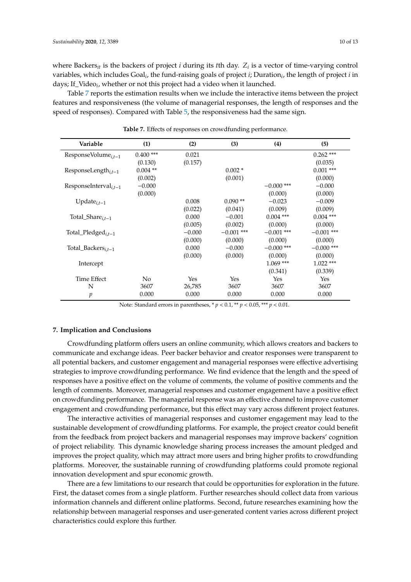where Backers*it* is the backers of project *i* during its *t*th day. *Z<sup>i</sup>* is a vector of time-varying control variables, which includes Goal*<sup>i</sup>* , the fund-raising goals of project *i*; Duration*<sup>i</sup>* , the length of project *i* in days; If\_Video*<sup>i</sup>* , whether or not this project had a video when it launched.

Table [7](#page-9-1) reports the estimation results when we include the interactive items between the project features and responsiveness (the volume of managerial responses, the length of responses and the speed of responses). Compared with Table [5,](#page-8-1) the responsiveness had the same sign.

<span id="page-9-1"></span>

| Variable                          | (1)            | (2)      | (3)          | (4)          | (5)          |
|-----------------------------------|----------------|----------|--------------|--------------|--------------|
| Response Volume <sub>it-1</sub>   | $0.400$ ***    | 0.021    |              |              | $0.262$ ***  |
|                                   | (0.130)        | (0.157)  |              |              | (0.035)      |
| ResponseLength $_{i,t-1}$         | $0.004$ **     |          | $0.002*$     |              | $0.001$ ***  |
|                                   | (0.002)        |          | (0.001)      |              | (0.000)      |
| ResponseInterval <sub>i.t-1</sub> | $-0.000$       |          |              | $-0.000$ *** | $-0.000$     |
|                                   | (0.000)        |          |              | (0.000)      | (0.000)      |
| Update $_{i,t-1}$                 |                | 0.008    | $0.090**$    | $-0.023$     | $-0.009$     |
|                                   |                | (0.022)  | (0.041)      | (0.009)      | (0.009)      |
| Total_Share $_{i.t-1}$            |                | 0.000    | $-0.001$     | $0.004$ ***  | $0.004$ ***  |
|                                   |                | (0.005)  | (0.002)      | (0.000)      | (0.000)      |
| Total_Pledged $_{i,t-1}$          |                | $-0.000$ | $-0.001$ *** | $-0.001$ *** | $-0.001$ *** |
|                                   |                | (0.000)  | (0.000)      | (0.000)      | (0.000)      |
| Total_Backers $_{i,t-1}$          |                | 0.000    | $-0.000$     | $-0.000$ *** | $-0.000$ *** |
|                                   |                | (0.000)  | (0.000)      | (0.000)      | (0.000)      |
| Intercept                         |                |          |              | $1.069***$   | $1.022$ ***  |
|                                   |                |          |              | (0.341)      | (0.339)      |
| Time Effect                       | N <sub>0</sub> | Yes      | Yes          | Yes          | Yes          |
| N                                 | 3607           | 26,785   | 3607         | 3607         | 3607         |
| $\mathfrak p$                     | 0.000          | 0.000    | 0.000        | 0.000        | 0.000        |

**Table 7.** Effects of responses on crowdfunding performance.

Note: Standard errors in parentheses, \* *p* < 0.1, \*\* *p* < 0.05, \*\*\* *p* < 0.01.

#### <span id="page-9-0"></span>**7. Implication and Conclusions**

Crowdfunding platform offers users an online community, which allows creators and backers to communicate and exchange ideas. Peer backer behavior and creator responses were transparent to all potential backers, and customer engagement and managerial responses were effective advertising strategies to improve crowdfunding performance. We find evidence that the length and the speed of responses have a positive effect on the volume of comments, the volume of positive comments and the length of comments. Moreover, managerial responses and customer engagement have a positive effect on crowdfunding performance. The managerial response was an effective channel to improve customer engagement and crowdfunding performance, but this effect may vary across different project features.

The interactive activities of managerial responses and customer engagement may lead to the sustainable development of crowdfunding platforms. For example, the project creator could benefit from the feedback from project backers and managerial responses may improve backers' cognition of project reliability. This dynamic knowledge sharing process increases the amount pledged and improves the project quality, which may attract more users and bring higher profits to crowdfunding platforms. Moreover, the sustainable running of crowdfunding platforms could promote regional innovation development and spur economic growth.

There are a few limitations to our research that could be opportunities for exploration in the future. First, the dataset comes from a single platform. Further researches should collect data from various information channels and different online platforms. Second, future researches examining how the relationship between managerial responses and user-generated content varies across different project characteristics could explore this further.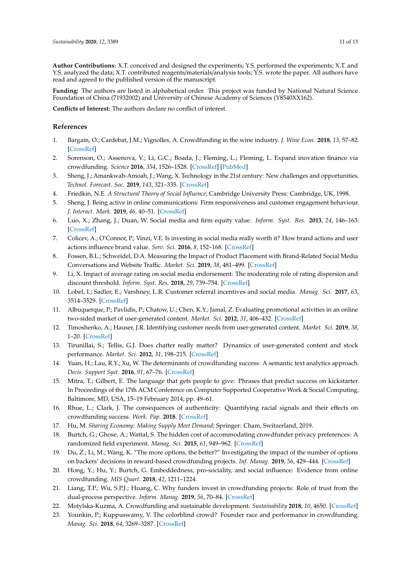**Author Contributions:** X.T. conceived and designed the experiments; Y.S. performed the experiments; X.T. and Y.S. analyzed the data; X.T. contributed reagents/materials/analysis tools; Y.S. wrote the paper. All authors have read and agreed to the published version of the manuscript.

**Funding:** The authors are listed in alphabetical order. This project was funded by National Natural Science Foundation of China (71932002) and University of Chinese Academy of Sciences (Y8540XX162).

**Conflicts of Interest:** The authors declare no conflict of interest.

### **References**

- <span id="page-10-0"></span>1. Bargain, O.; Cardebat, J.M.; Vignolles, A. Crowdfunding in the wine industry. *J. Wine Econ.* **2018**, *13*, 57–82. [\[CrossRef\]](http://dx.doi.org/10.1017/jwe.2018.3)
- <span id="page-10-1"></span>2. Sorenson, O.; Assenova, V.; Li, G.C.; Boada, J.; Fleming, L.; Fleming, L. Expand inovation finance via crowdfunding. *Science* **2016**, *354*, 1526–1528. [\[CrossRef\]](http://dx.doi.org/10.1126/science.aaf6989) [\[PubMed\]](http://www.ncbi.nlm.nih.gov/pubmed/28008025)
- <span id="page-10-2"></span>3. Sheng, J.; Amankwah-Amoah, J.; Wang, X. Technology in the 21st century: New challenges and opportunities. *Technol. Forecast. Soc.* **2019**, *143*, 321–335. [\[CrossRef\]](http://dx.doi.org/10.1016/j.techfore.2018.06.009)
- <span id="page-10-3"></span>4. Friedkin, N.E. *A Structural Theory of Social Influence*; Cambridge University Press: Cambridge, UK, 1998.
- <span id="page-10-4"></span>5. Sheng, J. Being active in online communications: Firm responsiveness and customer engagement behaviour. *J. Interact. Mark.* **2019**, *46*, 40–51. [\[CrossRef\]](http://dx.doi.org/10.1016/j.intmar.2018.11.004)
- <span id="page-10-5"></span>6. Luo, X.; Zhang, J.; Duan, W. Social media and firm equity value. *Inform. Syst. Res.* **2013**, *24*, 146–163. [\[CrossRef\]](http://dx.doi.org/10.1287/isre.1120.0462)
- <span id="page-10-6"></span>7. Colicev, A.; O'Connor, P.; Vinzi, V.E. Is investing in social media really worth it? How brand actions and user actions influence brand value. *Serv. Sci.* **2016**, *8*, 152–168. [\[CrossRef\]](http://dx.doi.org/10.1287/serv.2016.0143)
- <span id="page-10-7"></span>8. Fossen, B.L.; Schweidel, D.A. Measuring the Impact of Product Placement with Brand-Related Social Media Conversations and Website Traffic. *Market. Sci.* **2019**, *38*, 481–499. [\[CrossRef\]](http://dx.doi.org/10.1287/mksc.2018.1147)
- <span id="page-10-8"></span>9. Li, X. Impact of average rating on social media endorsement: The moderating role of rating dispersion and discount threshold. *Inform. Syst. Res.* **2018**, *29*, 739–754. [\[CrossRef\]](http://dx.doi.org/10.1287/isre.2017.0728)
- <span id="page-10-9"></span>10. Lobel, I.; Sadler, E.; Varshney, L.R. Customer referral incentives and social media. *Manag. Sci.* **2017**, *63*, 3514–3529. [\[CrossRef\]](http://dx.doi.org/10.1287/mnsc.2016.2476)
- <span id="page-10-10"></span>11. Albuquerque, P.; Pavlidis, P.; Chatow, U.; Chen, K.Y.; Jamal, Z. Evaluating promotional activities in an online two-sided market of user-generated content. *Market. Sci.* **2012**, *31*, 406–432. [\[CrossRef\]](http://dx.doi.org/10.1287/mksc.1110.0685)
- <span id="page-10-11"></span>12. Timoshenko, A.; Hauser, J.R. Identifying customer needs from user-generated content. *Market. Sci.* **2019**, *38*, 1–20. [\[CrossRef\]](http://dx.doi.org/10.1287/mksc.2018.1123)
- <span id="page-10-12"></span>13. Tirunillai, S.; Tellis, G.J. Does chatter really matter? Dynamics of user-generated content and stock performance. *Market. Sci.* **2012**, *31*, 198–215. [\[CrossRef\]](http://dx.doi.org/10.1287/mksc.1110.0682)
- <span id="page-10-13"></span>14. Yuan, H.; Lau, R.Y.; Xu, W. The determinants of crowdfunding success: A semantic text analytics approach. *Decis. Support Syst.* **2016**, *91*, 67–76. [\[CrossRef\]](http://dx.doi.org/10.1016/j.dss.2016.08.001)
- <span id="page-10-14"></span>15. Mitra, T.; Gilbert, E. The language that gets people to give: Phrases that predict success on kickstarter. In Proceedings of the 17th ACM Conference on Computer Supported Cooperative Work & Social Computing, Baltimore, MD, USA, 15–19 February 2014; pp. 49–61.
- <span id="page-10-15"></span>16. Rhue, L.; Clark, J. The consequences of authenticity: Quantifying racial signals and their effects on crowdfunding success. *Work. Pap.* **2018**. [\[CrossRef\]](http://dx.doi.org/10.2139/ssrn.2837042)
- <span id="page-10-16"></span>17. Hu, M. *Sharing Economy: Making Supply Meet Demand*; Springer: Cham, Switzerland, 2019.
- <span id="page-10-17"></span>18. Burtch, G.; Ghose, A.; Wattal, S. The hidden cost of accommodating crowdfunder privacy preferences: A randomized field experiment. *Manag. Sci.* **2015**, *61*, 949–962. [\[CrossRef\]](http://dx.doi.org/10.1287/mnsc.2014.2069)
- <span id="page-10-18"></span>19. Du, Z.; Li, M.; Wang, K. "The more options, the better?" Investigating the impact of the number of options on backers' decisions in reward-based crowdfunding projects. *Inf. Manag.* **2019**, *56*, 429–444. [\[CrossRef\]](http://dx.doi.org/10.1016/j.im.2018.08.003)
- <span id="page-10-19"></span>20. Hong, Y.; Hu, Y.; Burtch, G. Embeddedness, pro-sociality, and social influence: Evidence from online crowdfunding. *MIS Quart.* **2018**, *42*, 1211–1224.
- <span id="page-10-20"></span>21. Liang, T.P.; Wu, S.P.J.; Huang, C. Why funders invest in crowdfunding projects: Role of trust from the dual-process perspective. *Inform. Manag.* **2019**, *56*, 70–84. [\[CrossRef\]](http://dx.doi.org/10.1016/j.im.2018.07.002)
- <span id="page-10-21"></span>22. Motylska-Kuzma, A. Crowdfunding and sustainable development. *Sustainability* **2018**, *10*, 4650. [\[CrossRef\]](http://dx.doi.org/10.3390/su10124650)
- <span id="page-10-22"></span>23. Younkin, P.; Kuppuswamy, V. The colorblind crowd? Founder race and performance in crowdfunding. *Manag. Sci.* **2018**, *64*, 3269–3287. [\[CrossRef\]](http://dx.doi.org/10.1287/mnsc.2017.2774)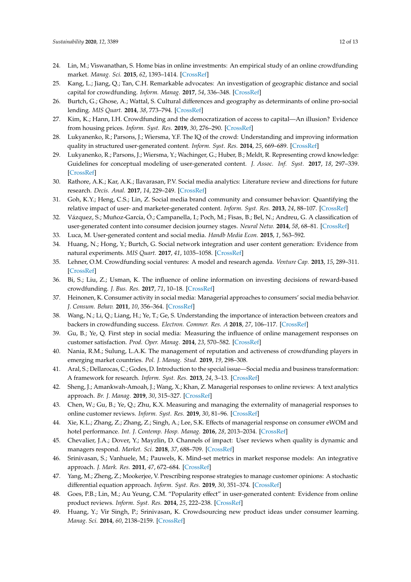- <span id="page-11-0"></span>24. Lin, M.; Viswanathan, S. Home bias in online investments: An empirical study of an online crowdfunding market. *Manag. Sci.* **2015**, *62*, 1393–1414. [\[CrossRef\]](http://dx.doi.org/10.1287/mnsc.2015.2206)
- <span id="page-11-1"></span>25. Kang, L.; Jiang, Q.; Tan, C.H. Remarkable advocates: An investigation of geographic distance and social capital for crowdfunding. *Inform. Manag.* **2017**, *54*, 336–348. [\[CrossRef\]](http://dx.doi.org/10.1016/j.im.2016.09.001)
- <span id="page-11-2"></span>26. Burtch, G.; Ghose, A.; Wattal, S. Cultural differences and geography as determinants of online pro-social lending. *MIS Quart.* **2014**, *38*, 773–794. [\[CrossRef\]](http://dx.doi.org/10.25300/MISQ/2014/38.3.07)
- <span id="page-11-3"></span>27. Kim, K.; Hann, I.H. Crowdfunding and the democratization of access to capital—An illusion? Evidence from housing prices. *Inform. Syst. Res.* **2019**, *30*, 276–290. [\[CrossRef\]](http://dx.doi.org/10.1287/isre.2018.0802)
- <span id="page-11-4"></span>28. Lukyanenko, R.; Parsons, J.; Wiersma, Y.F. The IQ of the crowd: Understanding and improving information quality in structured user-generated content. *Inform. Syst. Res.* **2014**, *25*, 669–689. [\[CrossRef\]](http://dx.doi.org/10.1287/isre.2014.0537)
- <span id="page-11-5"></span>29. Lukyanenko, R.; Parsons, J.; Wiersma, Y.; Wachinger, G.; Huber, B.; Meldt, R. Representing crowd knowledge: Guidelines for conceptual modeling of user-generated content. *J. Assoc. Inf. Syst.* **2017**, *18*, 297–339. [\[CrossRef\]](http://dx.doi.org/10.17705/1jais.00456)
- <span id="page-11-6"></span>30. Rathore, A.K.; Kar, A.K.; Ilavarasan, P.V. Social media analytics: Literature review and directions for future research. *Decis. Anal.* **2017**, *14*, 229–249. [\[CrossRef\]](http://dx.doi.org/10.1287/deca.2017.0355)
- <span id="page-11-7"></span>31. Goh, K.Y.; Heng, C.S.; Lin, Z. Social media brand community and consumer behavior: Quantifying the relative impact of user- and marketer-generated content. *Inform. Syst. Res.* **2013**, *24*, 88–107. [\[CrossRef\]](http://dx.doi.org/10.1287/isre.1120.0469)
- <span id="page-11-8"></span>32. Vázquez, S.; Muñoz-García, Ó.; Campanella, I.; Poch, M.; Fisas, B.; Bel, N.; Andreu, G. A classification of user-generated content into consumer decision journey stages. *Neural Netw.* **2014**, *58*, 68–81. [\[CrossRef\]](http://dx.doi.org/10.1016/j.neunet.2014.05.026)
- <span id="page-11-10"></span><span id="page-11-9"></span>33. Luca, M. User-generated content and social media. *Handb Media Econ.* **2015**, *1*, 563–592.
- 34. Huang, N.; Hong, Y.; Burtch, G. Social network integration and user content generation: Evidence from natural experiments. *MIS Quart.* **2017**, *41*, 1035–1058. [\[CrossRef\]](http://dx.doi.org/10.25300/MISQ/2017/41.4.02)
- <span id="page-11-11"></span>35. Lehner, O.M. Crowdfunding social ventures: A model and research agenda. *Venture Cap.* **2013**, *15*, 289–311. [\[CrossRef\]](http://dx.doi.org/10.1080/13691066.2013.782624)
- <span id="page-11-12"></span>36. Bi, S.; Liu, Z.; Usman, K. The influence of online information on investing decisions of reward-based crowdfunding. *J. Bus. Res.* **2017**, *71*, 10–18. [\[CrossRef\]](http://dx.doi.org/10.1016/j.jbusres.2016.10.001)
- <span id="page-11-13"></span>37. Heinonen, K. Consumer activity in social media: Managerial approaches to consumers' social media behavior. *J. Consum. Behav.* **2011**, *10*, 356–364. [\[CrossRef\]](http://dx.doi.org/10.1002/cb.376)
- <span id="page-11-14"></span>38. Wang, N.; Li, Q.; Liang, H.; Ye, T.; Ge, S. Understanding the importance of interaction between creators and backers in crowdfunding success. *Electron. Commer. Res. A* **2018**, *27*, 106–117. [\[CrossRef\]](http://dx.doi.org/10.1016/j.elerap.2017.12.004)
- <span id="page-11-15"></span>39. Gu, B.; Ye, Q. First step in social media: Measuring the influence of online management responses on customer satisfaction. *Prod. Oper. Manag.* **2014**, *23*, 570–582. [\[CrossRef\]](http://dx.doi.org/10.1111/poms.12043)
- <span id="page-11-16"></span>40. Nania, R.M.; Sulung, L.A.K. The management of reputation and activeness of crowdfunding players in emerging market countries. *Pol. J. Manag. Stud.* **2019**, *19*, 298–308.
- <span id="page-11-17"></span>41. Aral, S.; Dellarocas, C.; Godes, D. Introduction to the special issue—Social media and business transformation: A framework for research. *Inform. Syst. Res.* **2013**, *24*, 3–13. [\[CrossRef\]](http://dx.doi.org/10.1287/isre.1120.0470)
- <span id="page-11-18"></span>42. Sheng, J.; Amankwah-Amoah, J.; Wang, X.; Khan, Z. Managerial responses to online reviews: A text analytics approach. *Br. J. Manag.* **2019**, *30*, 315–327. [\[CrossRef\]](http://dx.doi.org/10.1111/1467-8551.12329)
- <span id="page-11-19"></span>43. Chen, W.; Gu, B.; Ye, Q.; Zhu, K.X. Measuring and managing the externality of managerial responses to online customer reviews. *Inform. Syst. Res.* **2019**, *30*, 81–96. [\[CrossRef\]](http://dx.doi.org/10.1287/isre.2018.0781)
- <span id="page-11-20"></span>44. Xie, K.L.; Zhang, Z.; Zhang, Z.; Singh, A.; Lee, S.K. Effects of managerial response on consumer eWOM and hotel performance. *Int. J. Contemp. Hosp. Manag.* **2016**, *28*, 2013–2034. [\[CrossRef\]](http://dx.doi.org/10.1108/IJCHM-06-2015-0290)
- <span id="page-11-21"></span>45. Chevalier, J.A.; Dover, Y.; Mayzlin, D. Channels of impact: User reviews when quality is dynamic and managers respond. *Market. Sci.* **2018**, *37*, 688–709. [\[CrossRef\]](http://dx.doi.org/10.1287/mksc.2018.1090)
- <span id="page-11-22"></span>46. Srinivasan, S.; Vanhuele, M.; Pauwels, K. Mind-set metrics in market response models: An integrative approach. *J. Mark. Res.* **2011**, *47*, 672–684. [\[CrossRef\]](http://dx.doi.org/10.1509/jmkr.47.4.672)
- <span id="page-11-23"></span>47. Yang, M.; Zheng, Z.; Mookerjee, V. Prescribing response strategies to manage customer opinions: A stochastic differential equation approach. *Inform. Syst. Res.* **2019**, *30*, 351–374. [\[CrossRef\]](http://dx.doi.org/10.1287/isre.2018.0805)
- <span id="page-11-24"></span>48. Goes, P.B.; Lin, M.; Au Yeung, C.M. "Popularity effect" in user-generated content: Evidence from online product reviews. *Inform. Syst. Res.* **2014**, *25*, 222–238. [\[CrossRef\]](http://dx.doi.org/10.1287/isre.2013.0512)
- <span id="page-11-25"></span>49. Huang, Y.; Vir Singh, P.; Srinivasan, K. Crowdsourcing new product ideas under consumer learning. *Manag. Sci.* **2014**, *60*, 2138–2159. [\[CrossRef\]](http://dx.doi.org/10.1287/mnsc.2013.1879)